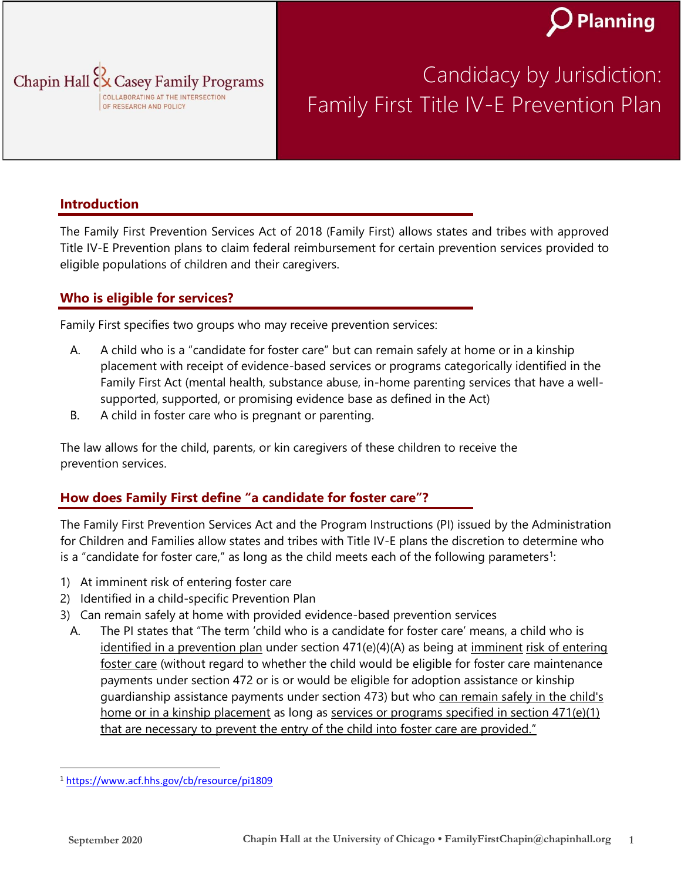



### Candidacy by Jurisdiction: Family First Title IV-E Prevention Plan

#### **Introduction**

The Family First Prevention Services Act of 2018 (Family First) allows states and tribes with approved Title IV-E Prevention plans to claim federal reimbursement for certain prevention services provided to eligible populations of children and their caregivers.

#### **Who is eligible for services?**

Family First specifies two groups who may receive prevention services:

- A. A child who is a "candidate for foster care" but can remain safely at home or in a kinship placement with receipt of evidence-based services or programs categorically identified in the Family First Act (mental health, substance abuse, in-home parenting services that have a wellsupported, supported, or promising evidence base as defined in the Act)
- B. A child in foster care who is pregnant or parenting.

The law allows for the child, parents, or kin caregivers of these children to receive the prevention services.

#### **How does Family First define "a candidate for foster care"?**

The Family First Prevention Services Act and the Program Instructions (PI) issued by the Administration for Children and Families allow states and tribes with Title IV-E plans the discretion to determine who is a "candidate for foster care," as long as the child meets each of the following parameters<sup>1</sup>:

- 1) At imminent risk of entering foster care
- 2) Identified in a child-specific Prevention Plan
- 3) Can remain safely at home with provided evidence-based prevention services
	- A. The PI states that "The term 'child who is a candidate for foster care' means, a child who is identified in a prevention plan under section  $471(e)(4)(A)$  as being at imminent risk of entering foster care (without regard to whether the child would be eligible for foster care maintenance payments under section 472 or is or would be eligible for adoption assistance or kinship guardianship assistance payments under section 473) but who can remain safely in the child's home or in a kinship placement as long as services or programs specified in section 471(e)(1) that are necessary to prevent the entry of the child into foster care are provided."

<sup>1</sup> <https://www.acf.hhs.gov/cb/resource/pi1809>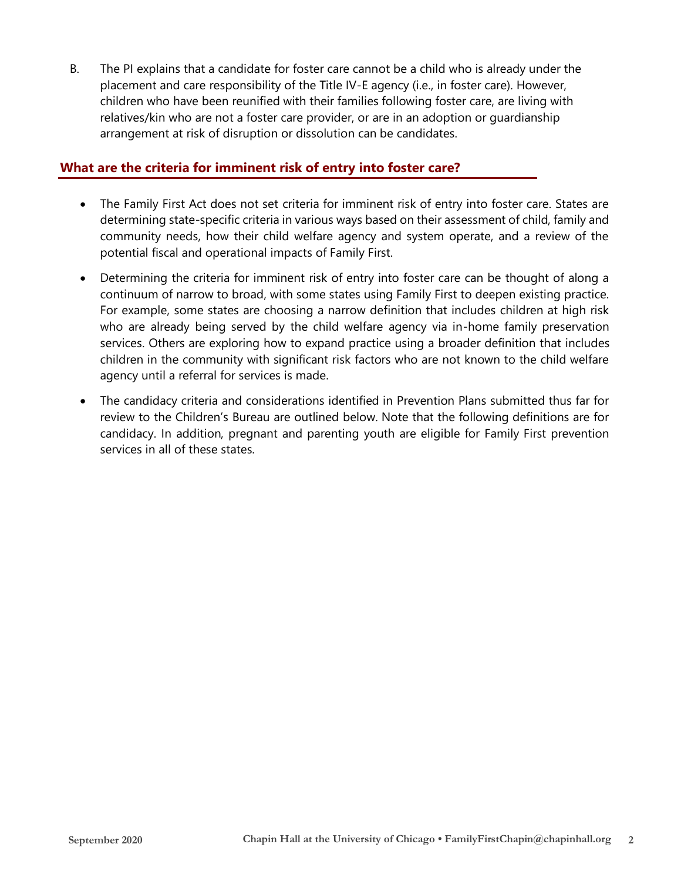B. The PI explains that a candidate for foster care cannot be a child who is already under the placement and care responsibility of the Title IV-E agency (i.e., in foster care). However, children who have been reunified with their families following foster care, are living with relatives/kin who are not a foster care provider, or are in an adoption or guardianship arrangement at risk of disruption or dissolution can be candidates.

#### **What are the criteria for imminent risk of entry into foster care?**

- The Family First Act does not set criteria for imminent risk of entry into foster care. States are determining state-specific criteria in various ways based on their assessment of child, family and community needs, how their child welfare agency and system operate, and a review of the potential fiscal and operational impacts of Family First.
- Determining the criteria for imminent risk of entry into foster care can be thought of along a continuum of narrow to broad, with some states using Family First to deepen existing practice. For example, some states are choosing a narrow definition that includes children at high risk who are already being served by the child welfare agency via in-home family preservation services. Others are exploring how to expand practice using a broader definition that includes children in the community with significant risk factors who are not known to the child welfare agency until a referral for services is made.
- The candidacy criteria and considerations identified in Prevention Plans submitted thus far for review to the Children's Bureau are outlined below. Note that the following definitions are for candidacy. In addition, pregnant and parenting youth are eligible for Family First prevention services in all of these states.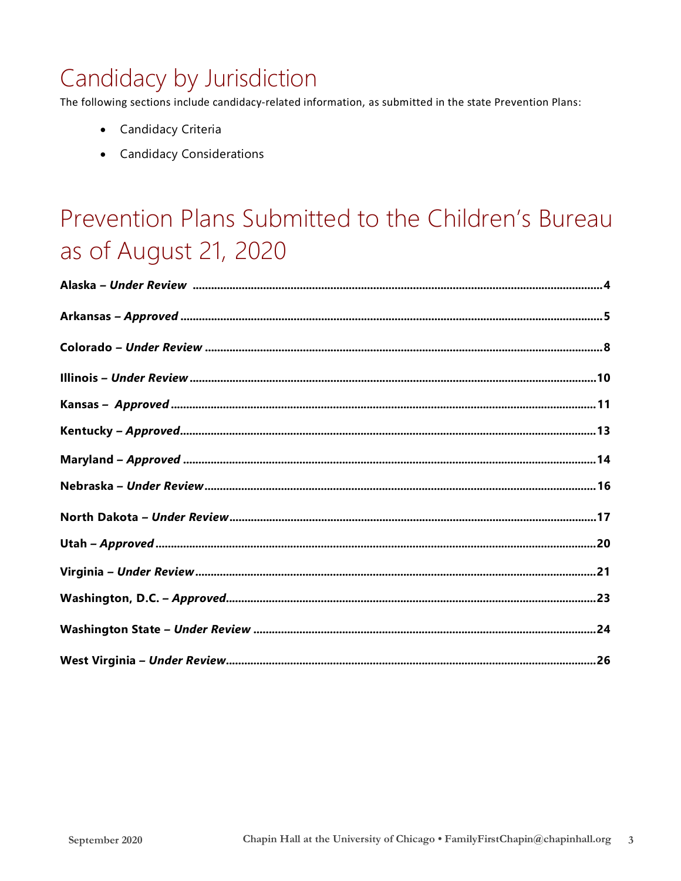### Candidacy by Jurisdiction

The following sections include candidacy-related information, as submitted in the state Prevention Plans:

- Candidacy Criteria
- Candidacy Considerations

### Prevention Plans Submitted to the Children's Bureau as of August 21, 2020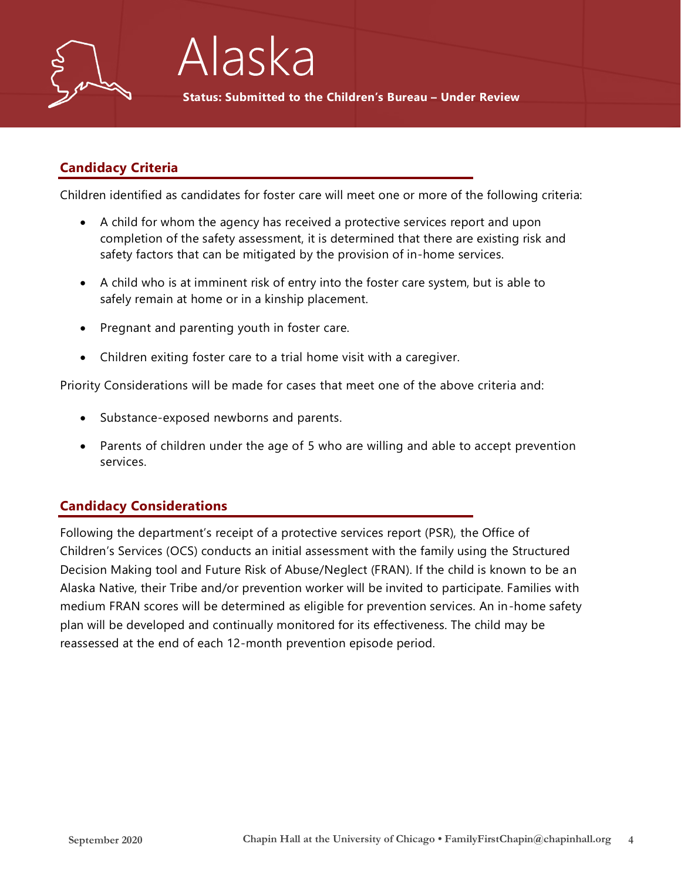

## Alaska

**Status: Submitted to the Children's Bureau – Under Review**

#### **Candidacy Criteria**

Children identified as candidates for foster care will meet one or more of the following criteria:

- A child for whom the agency has received a protective services report and upon completion of the safety assessment, it is determined that there are existing risk and safety factors that can be mitigated by the provision of in-home services.
- A child who is at imminent risk of entry into the foster care system, but is able to safely remain at home or in a kinship placement.
- Pregnant and parenting youth in foster care.
- Children exiting foster care to a trial home visit with a caregiver.

Priority Considerations will be made for cases that meet one of the above criteria and:

- Substance-exposed newborns and parents.
- Parents of children under the age of 5 who are willing and able to accept prevention services.

#### **Candidacy Considerations**

Following the department's receipt of a protective services report (PSR), the Office of Children's Services (OCS) conducts an initial assessment with the family using the Structured Decision Making tool and Future Risk of Abuse/Neglect (FRAN). If the child is known to be an Alaska Native, their Tribe and/or prevention worker will be invited to participate. Families with medium FRAN scores will be determined as eligible for prevention services. An in-home safety plan will be developed and continually monitored for its effectiveness. The child may be reassessed at the end of each 12-month prevention episode period.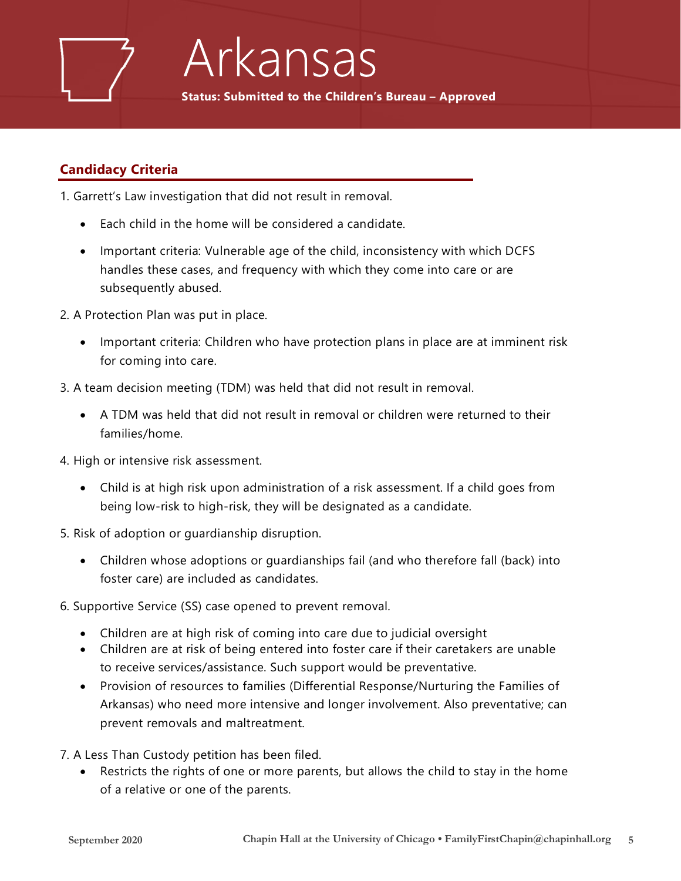

### Arkansas

**Status: Submitted to the Children's Bureau – Approved**

#### **Candidacy Criteria**

- 1. Garrett's Law investigation that did not result in removal.
	- Each child in the home will be considered a candidate.
	- Important criteria: Vulnerable age of the child, inconsistency with which DCFS handles these cases, and frequency with which they come into care or are subsequently abused.
- 2. A Protection Plan was put in place.
	- Important criteria: Children who have protection plans in place are at imminent risk for coming into care.
- 3. A team decision meeting (TDM) was held that did not result in removal.
	- A TDM was held that did not result in removal or children were returned to their families/home.
- 4. High or intensive risk assessment.
	- Child is at high risk upon administration of a risk assessment. If a child goes from being low-risk to high-risk, they will be designated as a candidate.
- 5. Risk of adoption or guardianship disruption.
	- Children whose adoptions or guardianships fail (and who therefore fall (back) into foster care) are included as candidates.
- 6. Supportive Service (SS) case opened to prevent removal.
	- Children are at high risk of coming into care due to judicial oversight
	- Children are at risk of being entered into foster care if their caretakers are unable to receive services/assistance. Such support would be preventative.
	- Provision of resources to families (Differential Response/Nurturing the Families of Arkansas) who need more intensive and longer involvement. Also preventative; can prevent removals and maltreatment.
- 7. A Less Than Custody petition has been filed.
	- Restricts the rights of one or more parents, but allows the child to stay in the home of a relative or one of the parents.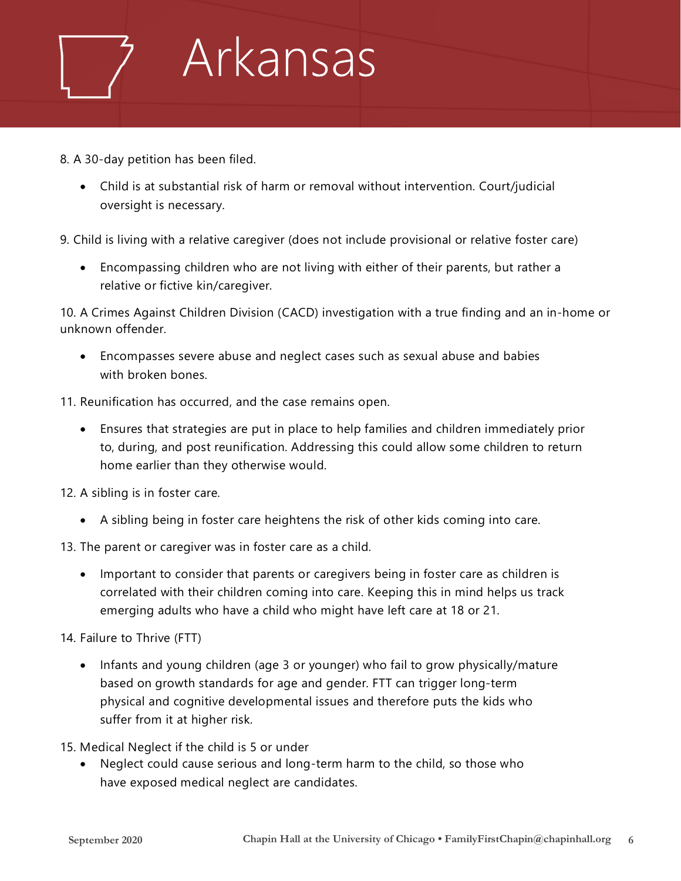

- 8. A 30-day petition has been filed.
	- Child is at substantial risk of harm or removal without intervention. Court/judicial oversight is necessary.
- 9. Child is living with a relative caregiver (does not include provisional or relative foster care)
	- Encompassing children who are not living with either of their parents, but rather a relative or fictive kin/caregiver.

10. A Crimes Against Children Division (CACD) investigation with a true finding and an in-home or unknown offender.

- Encompasses severe abuse and neglect cases such as sexual abuse and babies with broken bones.
- 11. Reunification has occurred, and the case remains open.
	- Ensures that strategies are put in place to help families and children immediately prior to, during, and post reunification. Addressing this could allow some children to return home earlier than they otherwise would.
- 12. A sibling is in foster care.
	- A sibling being in foster care heightens the risk of other kids coming into care.
- 13. The parent or caregiver was in foster care as a child.
	- Important to consider that parents or caregivers being in foster care as children is correlated with their children coming into care. Keeping this in mind helps us track emerging adults who have a child who might have left care at 18 or 21.
- 14. Failure to Thrive (FTT)
	- Infants and young children (age 3 or younger) who fail to grow physically/mature based on growth standards for age and gender. FTT can trigger long-term physical and cognitive developmental issues and therefore puts the kids who suffer from it at higher risk.
- 15. Medical Neglect if the child is 5 or under
	- Neglect could cause serious and long-term harm to the child, so those who have exposed medical neglect are candidates.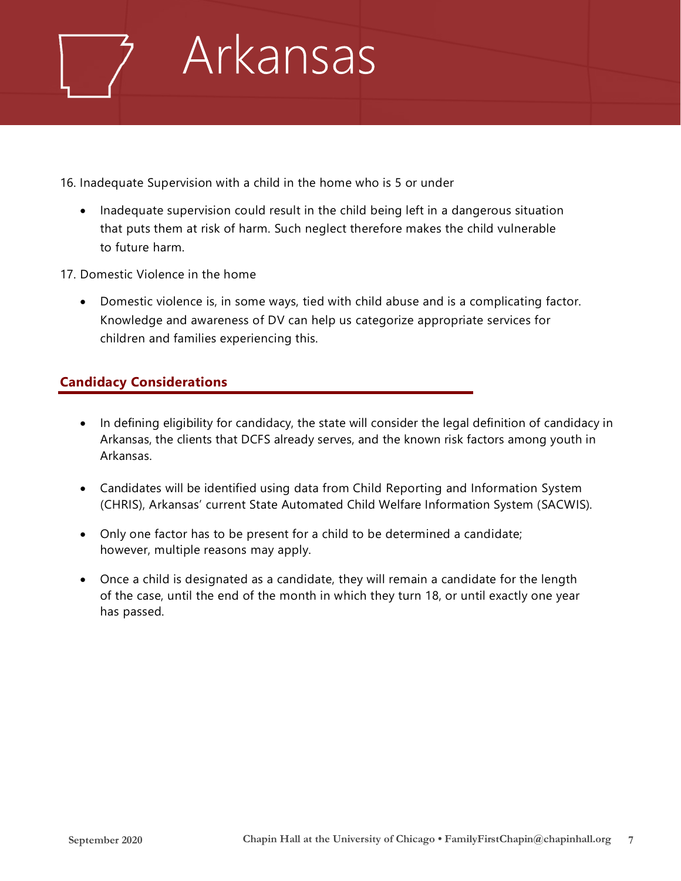

16. Inadequate Supervision with a child in the home who is 5 or under

- Inadequate supervision could result in the child being left in a dangerous situation that puts them at risk of harm. Such neglect therefore makes the child vulnerable to future harm.
- 17. Domestic Violence in the home
	- Domestic violence is, in some ways, tied with child abuse and is a complicating factor. Knowledge and awareness of DV can help us categorize appropriate services for children and families experiencing this.

#### **Candidacy Considerations**

- In defining eligibility for candidacy, the state will consider the legal definition of candidacy in Arkansas, the clients that DCFS already serves, and the known risk factors among youth in Arkansas.
- Candidates will be identified using data from Child Reporting and Information System (CHRIS), Arkansas' current State Automated Child Welfare Information System (SACWIS).
- Only one factor has to be present for a child to be determined a candidate; however, multiple reasons may apply.
- Once a child is designated as a candidate, they will remain a candidate for the length of the case, until the end of the month in which they turn 18, or until exactly one year has passed.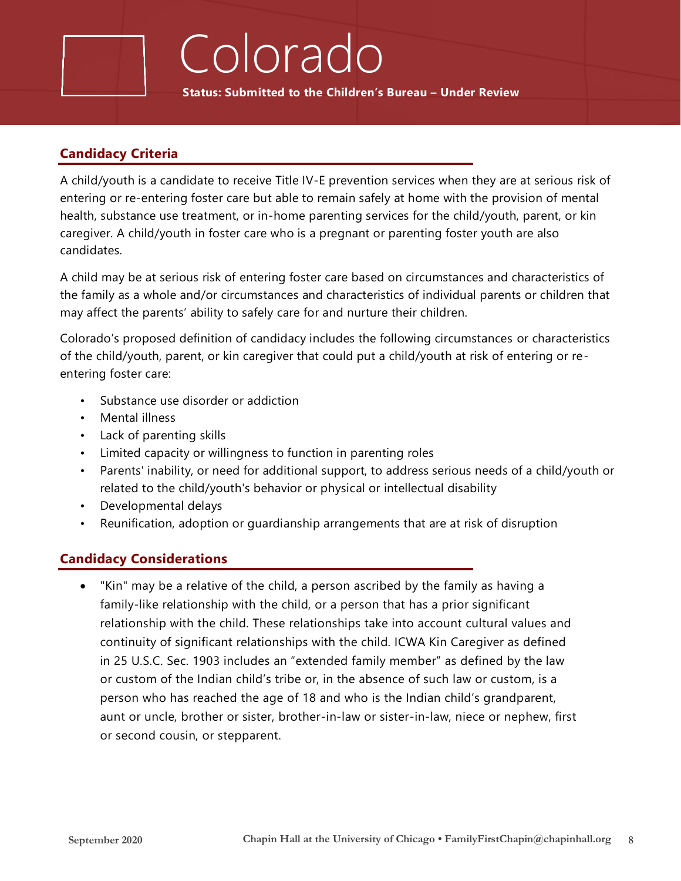**Status: Submitted to the Children's Bureau – Under Review**

Colorado

#### **Candidacy Criteria**

A child/youth is a candidate to receive Title IV-E prevention services when they are at serious risk of entering or re-entering foster care but able to remain safely at home with the provision of mental health, substance use treatment, or in-home parenting services for the child/youth, parent, or kin caregiver. A child/youth in foster care who is a pregnant or parenting foster youth are also candidates.

A child may be at serious risk of entering foster care based on circumstances and characteristics of the family as a whole and/or circumstances and characteristics of individual parents or children that may affect the parents' ability to safely care for and nurture their children.

Colorado's proposed definition of candidacy includes the following circumstances or characteristics of the child/youth, parent, or kin caregiver that could put a child/youth at risk of entering or reentering foster care:

- Substance use disorder or addiction
- Mental illness
- Lack of parenting skills
- Limited capacity or willingness to function in parenting roles
- Parents' inability, or need for additional support, to address serious needs of a child/youth or related to the child/youth's behavior or physical or intellectual disability
- Developmental delays
- Reunification, adoption or guardianship arrangements that are at risk of disruption

#### **Candidacy Considerations**

• "Kin" may be a relative of the child, a person ascribed by the family as having a family-like relationship with the child, or a person that has a prior significant relationship with the child. These relationships take into account cultural values and continuity of significant relationships with the child. ICWA Kin Caregiver as defined in 25 U.S.C. Sec. 1903 includes an "extended family member" as defined by the law or custom of the Indian child's tribe or, in the absence of such law or custom, is a person who has reached the age of 18 and who is the Indian child's grandparent, aunt or uncle, brother or sister, brother-in-law or sister-in-law, niece or nephew, first or second cousin, or stepparent.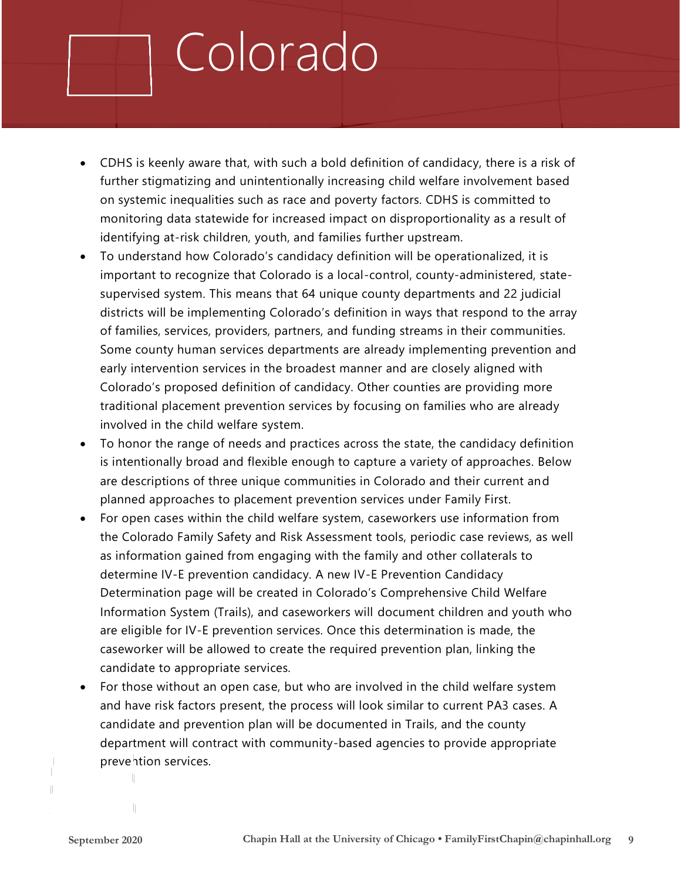# Colorado

- CDHS is keenly aware that, with such a bold definition of candidacy, there is a risk of further stigmatizing and unintentionally increasing child welfare involvement based on systemic inequalities such as race and poverty factors. CDHS is committed to monitoring data statewide for increased impact on disproportionality as a result of identifying at-risk children, youth, and families further upstream.
- To understand how Colorado's candidacy definition will be operationalized, it is important to recognize that Colorado is a local-control, county-administered, statesupervised system. This means that 64 unique county departments and 22 judicial districts will be implementing Colorado's definition in ways that respond to the array of families, services, providers, partners, and funding streams in their communities. Some county human services departments are already implementing prevention and early intervention services in the broadest manner and are closely aligned with Colorado's proposed definition of candidacy. Other counties are providing more traditional placement prevention services by focusing on families who are already involved in the child welfare system.
- To honor the range of needs and practices across the state, the candidacy definition is intentionally broad and flexible enough to capture a variety of approaches. Below are descriptions of three unique communities in Colorado and their current and planned approaches to placement prevention services under Family First.
- For open cases within the child welfare system, caseworkers use information from the Colorado Family Safety and Risk Assessment tools, periodic case reviews, as well as information gained from engaging with the family and other collaterals to determine IV-E prevention candidacy. A new IV-E Prevention Candidacy Determination page will be created in Colorado's Comprehensive Child Welfare Information System (Trails), and caseworkers will document children and youth who are eligible for IV-E prevention services. Once this determination is made, the caseworker will be allowed to create the required prevention plan, linking the candidate to appropriate services.
- For those without an open case, but who are involved in the child welfare system and have risk factors present, the process will look similar to current PA3 cases. A candidate and prevention plan will be documented in Trails, and the county department will contract with community-based agencies to provide appropriate prevention services.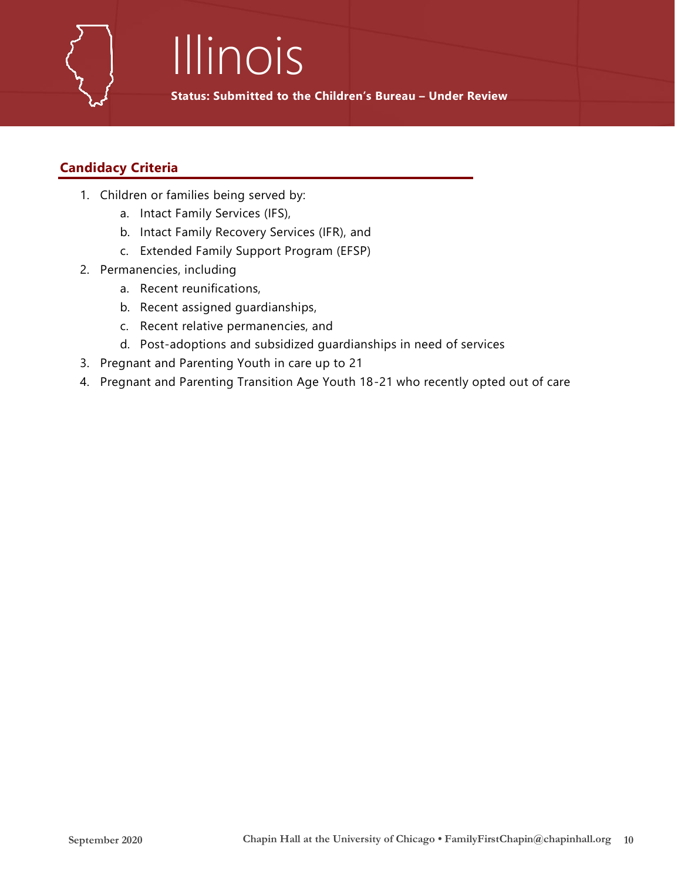# Illinois

**Status: Submitted to the Children's Bureau – Under Review**

#### **Candidacy Criteria**

- 1. Children or families being served by:
	- a. Intact Family Services (IFS),
	- b. Intact Family Recovery Services (IFR), and
	- c. Extended Family Support Program (EFSP)
- 2. Permanencies, including
	- a. Recent reunifications,
	- b. Recent assigned guardianships,
	- c. Recent relative permanencies, and
	- d. Post-adoptions and subsidized guardianships in need of services
- 3. Pregnant and Parenting Youth in care up to 21
- 4. Pregnant and Parenting Transition Age Youth 18-21 who recently opted out of care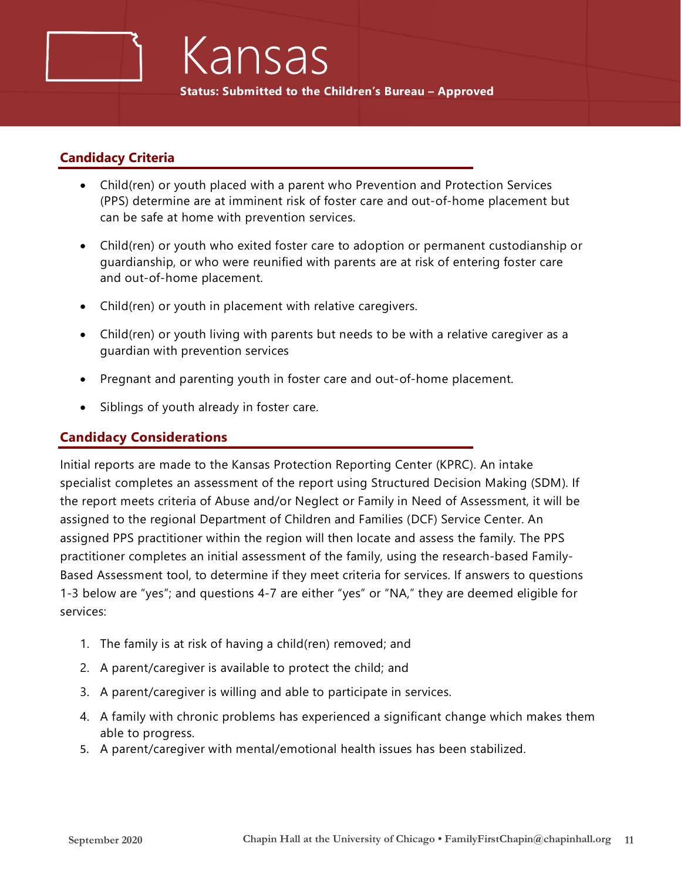#### **Candidacy Criteria**

- Child(ren) or youth placed with a parent who Prevention and Protection Services (PPS) determine are at imminent risk of foster care and out-of-home placement but can be safe at home with prevention services.
- Child(ren) or youth who exited foster care to adoption or permanent custodianship or guardianship, or who were reunified with parents are at risk of entering foster care and out-of-home placement.
- Child(ren) or youth in placement with relative caregivers.
- Child(ren) or youth living with parents but needs to be with a relative caregiver as a guardian with prevention services
- Pregnant and parenting youth in foster care and out-of-home placement.
- Siblings of youth already in foster care.

#### **Candidacy Considerations**

Initial reports are made to the Kansas Protection Reporting Center (KPRC). An intake specialist completes an assessment of the report using Structured Decision Making (SDM). If the report meets criteria of Abuse and/or Neglect or Family in Need of Assessment, it will be assigned to the regional Department of Children and Families (DCF) Service Center. An assigned PPS practitioner within the region will then locate and assess the family. The PPS practitioner completes an initial assessment of the family, using the research-based Family-Based Assessment tool, to determine if they meet criteria for services. If answers to questions 1-3 below are "yes"; and questions 4-7 are either "yes" or "NA," they are deemed eligible for services:

- 1. The family is at risk of having a child(ren) removed; and
- 2. A parent/caregiver is available to protect the child; and
- 3. A parent/caregiver is willing and able to participate in services.
- 4. A family with chronic problems has experienced a significant change which makes them able to progress.
- 5. A parent/caregiver with mental/emotional health issues has been stabilized.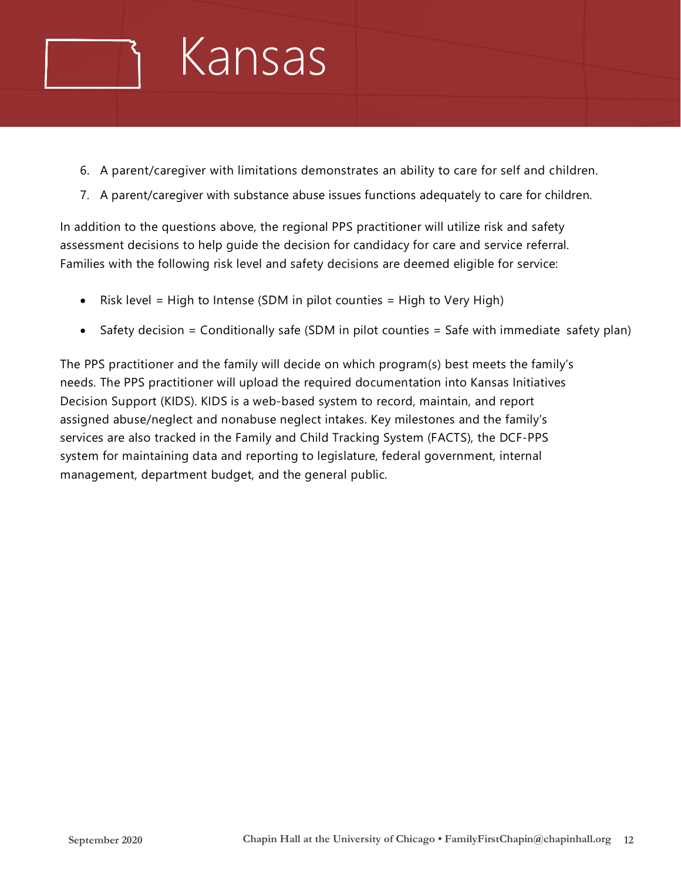

- 6. A parent/caregiver with limitations demonstrates an ability to care for self and children.
- 7. A parent/caregiver with substance abuse issues functions adequately to care for children.

In addition to the questions above, the regional PPS practitioner will utilize risk and safety assessment decisions to help guide the decision for candidacy for care and service referral. Families with the following risk level and safety decisions are deemed eligible for service:

- Risk level = High to Intense (SDM in pilot counties = High to Very High)
- Safety decision = Conditionally safe (SDM in pilot counties = Safe with immediate safety plan)

The PPS practitioner and the family will decide on which program(s) best meets the family's needs. The PPS practitioner will upload the required documentation into Kansas Initiatives Decision Support (KIDS). KIDS is a web-based system to record, maintain, and report assigned abuse/neglect and nonabuse neglect intakes. Key milestones and the family's services are also tracked in the Family and Child Tracking System (FACTS), the DCF-PPS system for maintaining data and reporting to legislature, federal government, internal management, department budget, and the general public.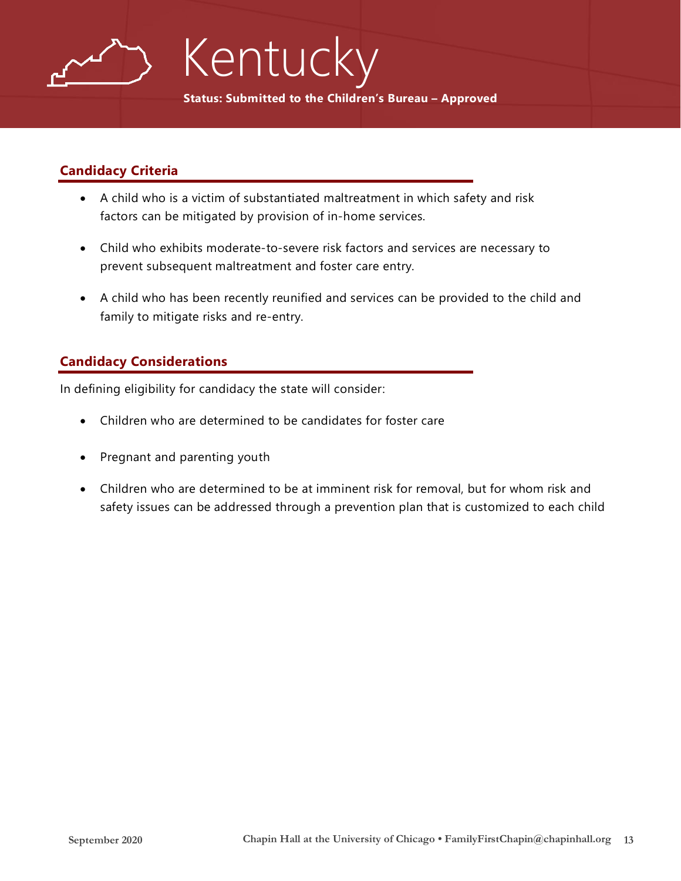

# Kentucky

**Status: Submitted to the Children's Bureau – Approved**

#### **Candidacy Criteria**

- A child who is a victim of substantiated maltreatment in which safety and risk factors can be mitigated by provision of in-home services.
- Child who exhibits moderate-to-severe risk factors and services are necessary to prevent subsequent maltreatment and foster care entry.
- A child who has been recently reunified and services can be provided to the child and family to mitigate risks and re-entry.

#### **Candidacy Considerations**

In defining eligibility for candidacy the state will consider:

- Children who are determined to be candidates for foster care
- Pregnant and parenting youth
- Children who are determined to be at imminent risk for removal, but for whom risk and safety issues can be addressed through a prevention plan that is customized to each child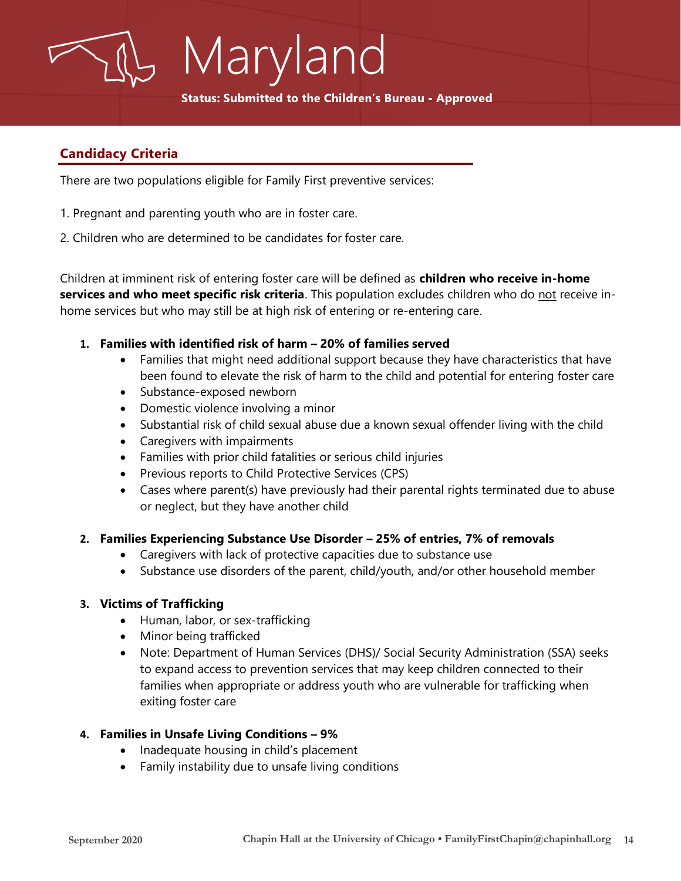**Status: Submitted to the Children's Bureau - Approved** 

#### **Candidacy Criteria**

There are two populations eligible for Family First preventive services:

Maryland

- 1. Pregnant and parenting youth who are in foster care.
- 2. Children who are determined to be candidates for foster care.

Children at imminent risk of entering foster care will be defined as **children who receive in-home services and who meet specific risk criteria**. This population excludes children who do not receive inhome services but who may still be at high risk of entering or re-entering care.

- **1. Families with identified risk of harm – 20% of families served**
	- Families that might need additional support because they have characteristics that have been found to elevate the risk of harm to the child and potential for entering foster care
	- Substance-exposed newborn
	- Domestic violence involving a minor
	- Substantial risk of child sexual abuse due a known sexual offender living with the child
	- Caregivers with impairments
	- Families with prior child fatalities or serious child injuries
	- Previous reports to Child Protective Services (CPS)
	- Cases where parent(s) have previously had their parental rights terminated due to abuse or neglect, but they have another child

#### **2. Families Experiencing Substance Use Disorder – 25% of entries, 7% of removals**

- Caregivers with lack of protective capacities due to substance use
- Substance use disorders of the parent, child/youth, and/or other household member

#### **3. Victims of Trafficking**

- Human, labor, or sex-trafficking
- Minor being trafficked
- Note: Department of Human Services (DHS)/ Social Security Administration (SSA) seeks to expand access to prevention services that may keep children connected to their families when appropriate or address youth who are vulnerable for trafficking when exiting foster care

#### **4. Families in Unsafe Living Conditions – 9%**

- Inadequate housing in child's placement
- Family instability due to unsafe living conditions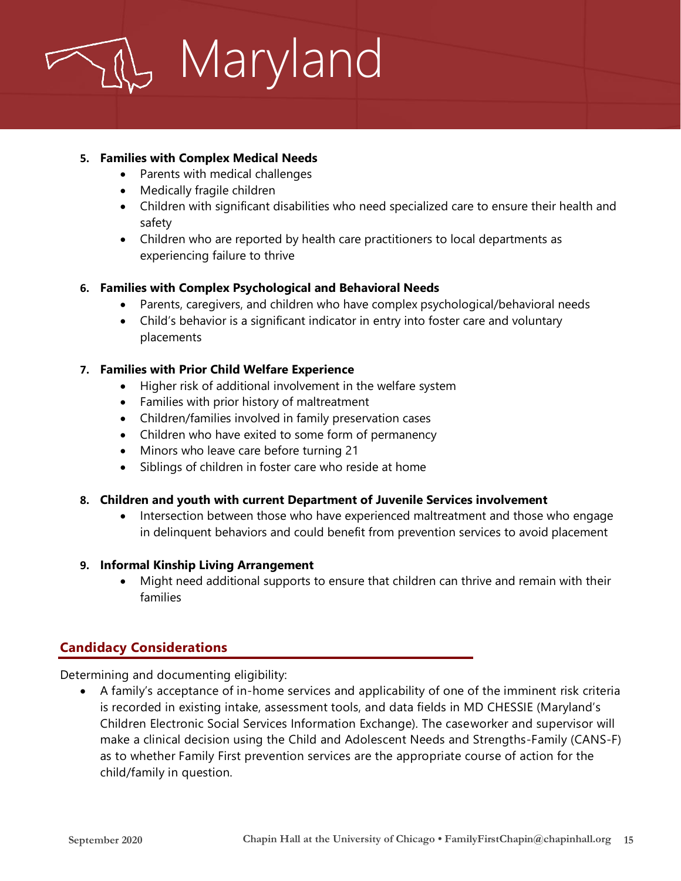

#### **5. Families with Complex Medical Needs**

- Parents with medical challenges
- Medically fragile children
- Children with significant disabilities who need specialized care to ensure their health and safety
- Children who are reported by health care practitioners to local departments as experiencing failure to thrive

#### **6. Families with Complex Psychological and Behavioral Needs**

- Parents, caregivers, and children who have complex psychological/behavioral needs
- Child's behavior is a significant indicator in entry into foster care and voluntary placements

#### **7. Families with Prior Child Welfare Experience**

- Higher risk of additional involvement in the welfare system
- Families with prior history of maltreatment
- Children/families involved in family preservation cases
- Children who have exited to some form of permanency
- Minors who leave care before turning 21
- Siblings of children in foster care who reside at home

#### **8. Children and youth with current Department of Juvenile Services involvement**

• Intersection between those who have experienced maltreatment and those who engage in delinquent behaviors and could benefit from prevention services to avoid placement

#### **9. Informal Kinship Living Arrangement**

• Might need additional supports to ensure that children can thrive and remain with their families

#### **Candidacy Considerations**

Determining and documenting eligibility:

• A family's acceptance of in-home services and applicability of one of the imminent risk criteria is recorded in existing intake, assessment tools, and data fields in MD CHESSIE (Maryland's Children Electronic Social Services Information Exchange). The caseworker and supervisor will make a clinical decision using the Child and Adolescent Needs and Strengths-Family (CANS-F) as to whether Family First prevention services are the appropriate course of action for the child/family in question.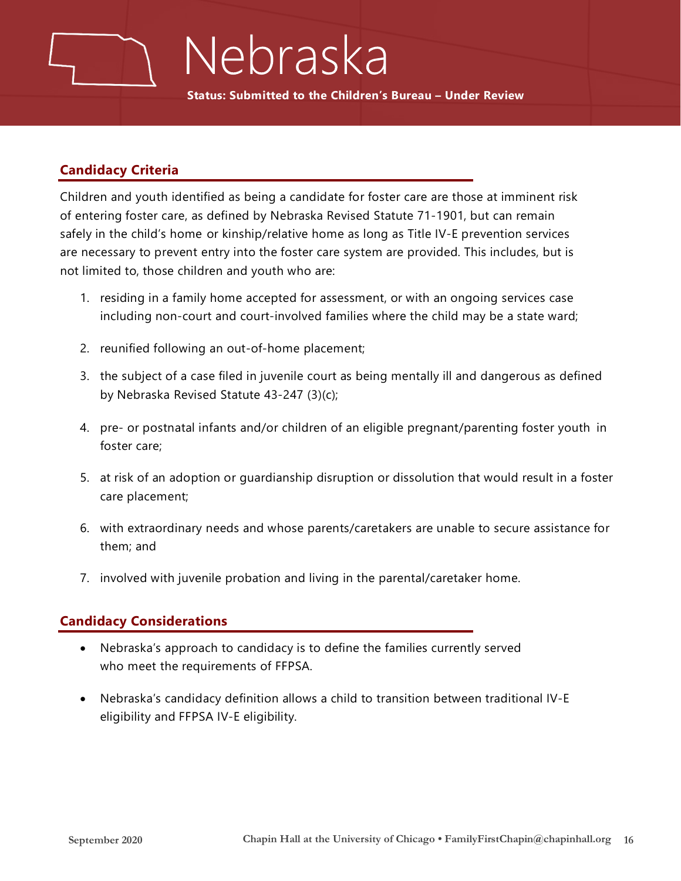### Nebraska

**Status: Submitted to the Children's Bureau – Under Review**

#### **Candidacy Criteria**

Children and youth identified as being a candidate for foster care are those at imminent risk of entering foster care, as defined by Nebraska Revised Statute 71-1901, but can remain safely in the child's home or kinship/relative home as long as Title IV-E prevention services are necessary to prevent entry into the foster care system are provided. This includes, but is not limited to, those children and youth who are:

- 1. residing in a family home accepted for assessment, or with an ongoing services case including non-court and court-involved families where the child may be a state ward;
- 2. reunified following an out-of-home placement;
- 3. the subject of a case filed in juvenile court as being mentally ill and dangerous as defined by Nebraska Revised Statute 43-247 (3)(c);
- 4. pre- or postnatal infants and/or children of an eligible pregnant/parenting foster youth in foster care;
- 5. at risk of an adoption or guardianship disruption or dissolution that would result in a foster care placement;
- 6. with extraordinary needs and whose parents/caretakers are unable to secure assistance for them; and
- 7. involved with juvenile probation and living in the parental/caretaker home.

#### **Candidacy Considerations**

- Nebraska's approach to candidacy is to define the families currently served who meet the requirements of FFPSA.
- Nebraska's candidacy definition allows a child to transition between traditional IV-E eligibility and FFPSA IV-E eligibility.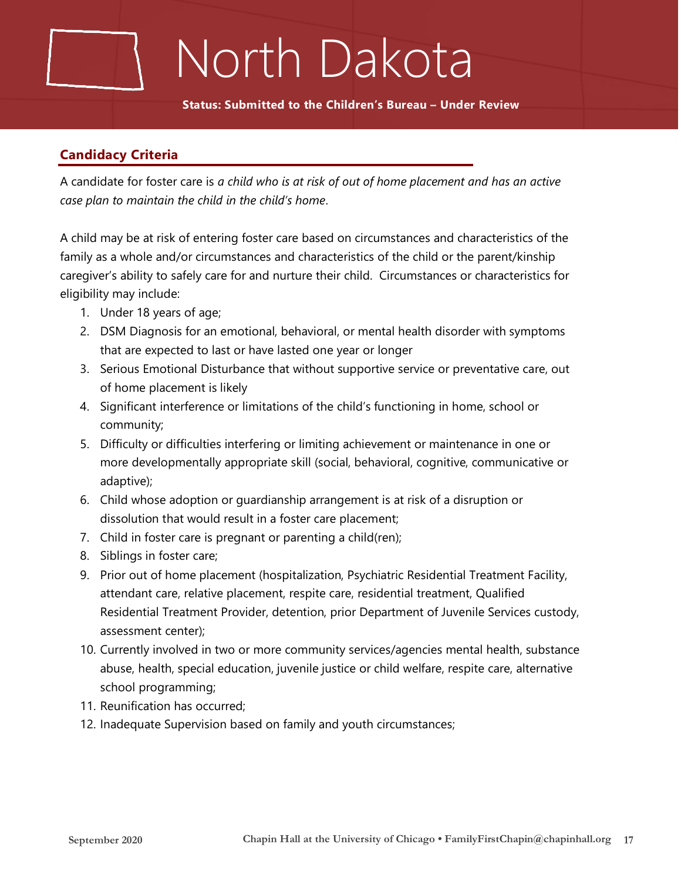# North Dakota

**Status: Submitted to the Children's Bureau – Under Review**

#### **Candidacy Criteria**

A candidate for foster care is *a child who is at risk of out of home placement and has an active case plan to maintain the child in the child's home*.

A child may be at risk of entering foster care based on circumstances and characteristics of the family as a whole and/or circumstances and characteristics of the child or the parent/kinship caregiver's ability to safely care for and nurture their child. Circumstances or characteristics for eligibility may include:

- 1. Under 18 years of age;
- 2. DSM Diagnosis for an emotional, behavioral, or mental health disorder with symptoms that are expected to last or have lasted one year or longer
- 3. Serious Emotional Disturbance that without supportive service or preventative care, out of home placement is likely
- 4. Significant interference or limitations of the child's functioning in home, school or community;
- 5. Difficulty or difficulties interfering or limiting achievement or maintenance in one or more developmentally appropriate skill (social, behavioral, cognitive, communicative or adaptive);
- 6. Child whose adoption or guardianship arrangement is at risk of a disruption or dissolution that would result in a foster care placement;
- 7. Child in foster care is pregnant or parenting a child(ren);
- 8. Siblings in foster care;
- 9. Prior out of home placement (hospitalization, Psychiatric Residential Treatment Facility, attendant care, relative placement, respite care, residential treatment, Qualified Residential Treatment Provider, detention, prior Department of Juvenile Services custody, assessment center);
- 10. Currently involved in two or more community services/agencies mental health, substance abuse, health, special education, juvenile justice or child welfare, respite care, alternative school programming;
- 11. Reunification has occurred;
- 12. Inadequate Supervision based on family and youth circumstances;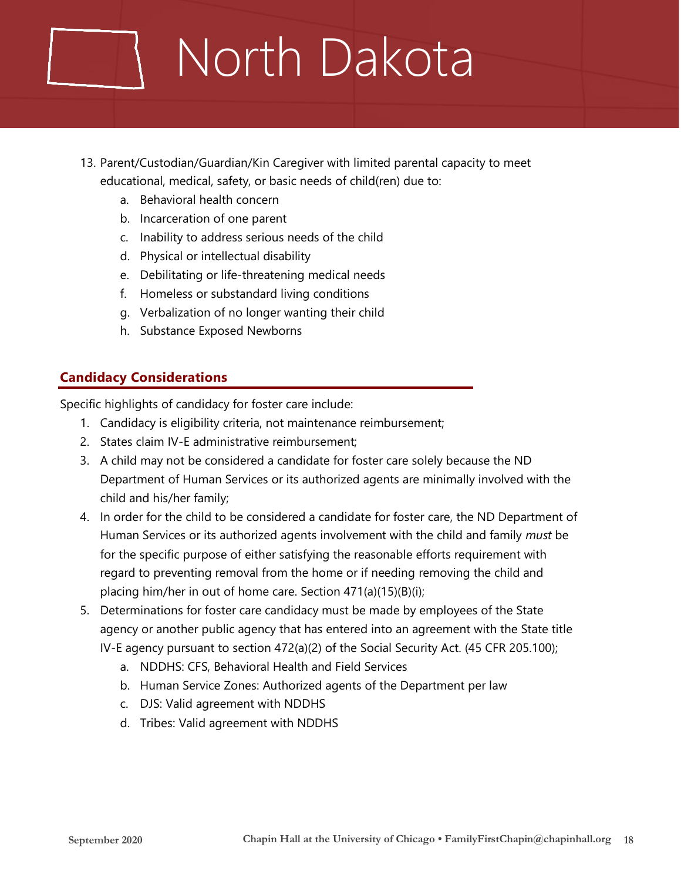# North Dakota

- 13. Parent/Custodian/Guardian/Kin Caregiver with limited parental capacity to meet educational, medical, safety, or basic needs of child(ren) due to:
	- a. Behavioral health concern
	- b. Incarceration of one parent
	- c. Inability to address serious needs of the child
	- d. Physical or intellectual disability
	- e. Debilitating or life-threatening medical needs
	- f. Homeless or substandard living conditions
	- g. Verbalization of no longer wanting their child
	- h. Substance Exposed Newborns

#### **Candidacy Considerations**

Specific highlights of candidacy for foster care include:

- 1. Candidacy is eligibility criteria, not maintenance reimbursement;
- 2. States claim IV-E administrative reimbursement;
- 3. A child may not be considered a candidate for foster care solely because the ND Department of Human Services or its authorized agents are minimally involved with the child and his/her family;
- 4. In order for the child to be considered a candidate for foster care, the ND Department of Human Services or its authorized agents involvement with the child and family *must* be for the specific purpose of either satisfying the reasonable efforts requirement with regard to preventing removal from the home or if needing removing the child and placing him/her in out of home care. Section 471(a)(15)(B)(i);
- 5. Determinations for foster care candidacy must be made by employees of the State agency or another public agency that has entered into an agreement with the State title IV-E agency pursuant to section 472(a)(2) of the Social Security Act. (45 CFR 205.100);
	- a. NDDHS: CFS, Behavioral Health and Field Services
	- b. Human Service Zones: Authorized agents of the Department per law
	- c. DJS: Valid agreement with NDDHS
	- d. Tribes: Valid agreement with NDDHS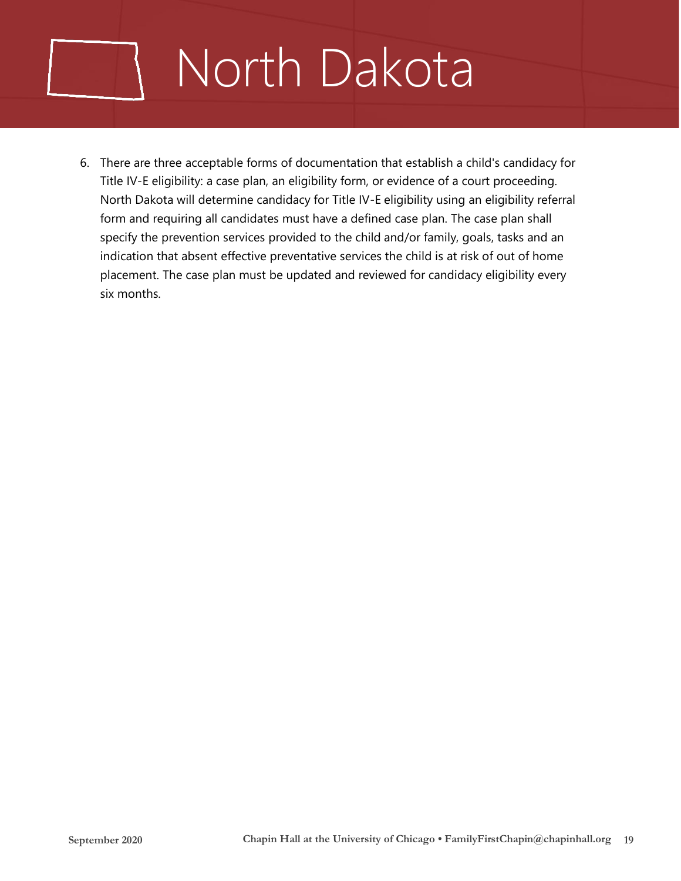# North Dakota

6. There are three acceptable forms of documentation that establish a child's candidacy for Title IV-E eligibility: a case plan, an eligibility form, or evidence of a court proceeding. North Dakota will determine candidacy for Title IV-E eligibility using an eligibility referral form and requiring all candidates must have a defined case plan. The case plan shall specify the prevention services provided to the child and/or family, goals, tasks and an indication that absent effective preventative services the child is at risk of out of home placement. The case plan must be updated and reviewed for candidacy eligibility every six months.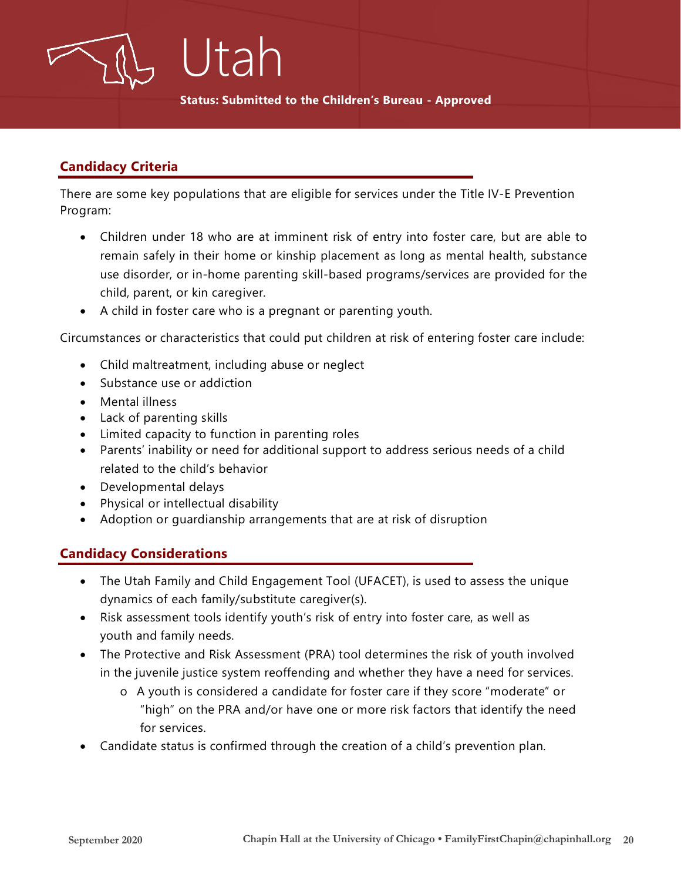

**Status: Submitted to the Children's Bureau - Approved**

#### **Candidacy Criteria**

There are some key populations that are eligible for services under the Title IV-E Prevention Program:

- Children under 18 who are at imminent risk of entry into foster care, but are able to remain safely in their home or kinship placement as long as mental health, substance use disorder, or in-home parenting skill-based programs/services are provided for the child, parent, or kin caregiver.
- A child in foster care who is a pregnant or parenting youth.

Circumstances or characteristics that could put children at risk of entering foster care include:

- Child maltreatment, including abuse or neglect
- Substance use or addiction
- Mental illness
- Lack of parenting skills
- Limited capacity to function in parenting roles
- Parents' inability or need for additional support to address serious needs of a child related to the child's behavior
- Developmental delays
- Physical or intellectual disability
- Adoption or guardianship arrangements that are at risk of disruption

#### **Candidacy Considerations**

- The Utah Family and Child Engagement Tool (UFACET), is used to assess the unique dynamics of each family/substitute caregiver(s).
- Risk assessment tools identify youth's risk of entry into foster care, as well as youth and family needs.
- The Protective and Risk Assessment (PRA) tool determines the risk of youth involved in the juvenile justice system reoffending and whether they have a need for services.
	- o A youth is considered a candidate for foster care if they score "moderate" or "high" on the PRA and/or have one or more risk factors that identify the need for services.
- Candidate status is confirmed through the creation of a child's prevention plan.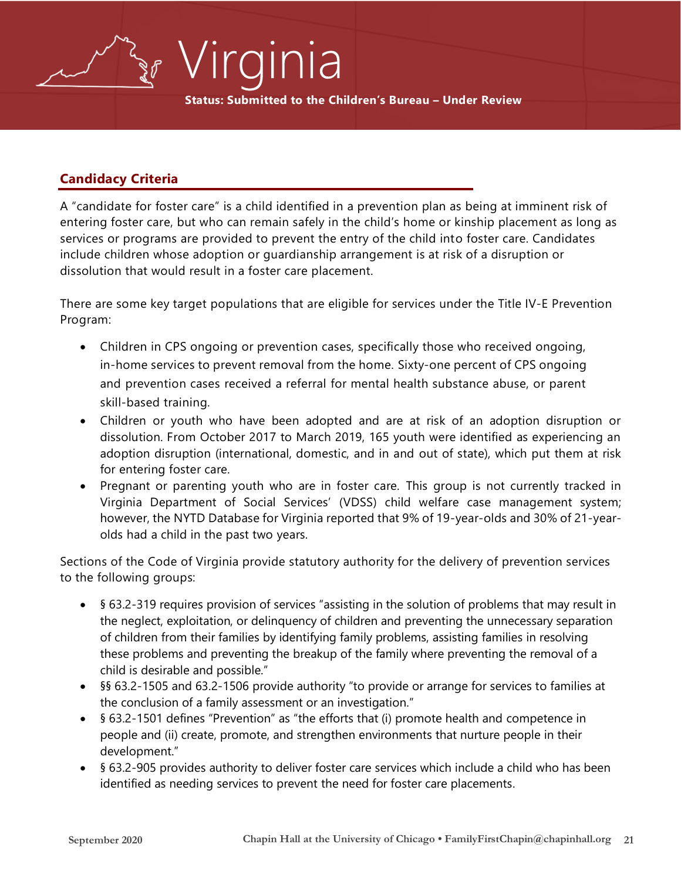**Status: Submitted to the Children's Bureau – Under Review**

Virginia

#### **Candidacy Criteria**

A "candidate for foster care" is a child identified in a prevention plan as being at imminent risk of entering foster care, but who can remain safely in the child's home or kinship placement as long as services or programs are provided to prevent the entry of the child into foster care. Candidates include children whose adoption or guardianship arrangement is at risk of a disruption or dissolution that would result in a foster care placement.

There are some key target populations that are eligible for services under the Title IV-E Prevention Program:

- Children in CPS ongoing or prevention cases, specifically those who received ongoing, in-home services to prevent removal from the home. Sixty-one percent of CPS ongoing and prevention cases received a referral for mental health substance abuse, or parent skill-based training.
- Children or youth who have been adopted and are at risk of an adoption disruption or dissolution. From October 2017 to March 2019, 165 youth were identified as experiencing an adoption disruption (international, domestic, and in and out of state), which put them at risk for entering foster care.
- Pregnant or parenting youth who are in foster care. This group is not currently tracked in Virginia Department of Social Services' (VDSS) child welfare case management system; however, the NYTD Database for Virginia reported that 9% of 19-year-olds and 30% of 21-yearolds had a child in the past two years.

Sections of the Code of Virginia provide statutory authority for the delivery of prevention services to the following groups:

- § 63.2-319 requires provision of services "assisting in the solution of problems that may result in the neglect, exploitation, or delinquency of children and preventing the unnecessary separation of children from their families by identifying family problems, assisting families in resolving these problems and preventing the breakup of the family where preventing the removal of a child is desirable and possible."
- §§ 63.2-1505 and 63.2-1506 provide authority "to provide or arrange for services to families at the conclusion of a family assessment or an investigation."
- § 63.2-1501 defines "Prevention" as "the efforts that (i) promote health and competence in people and (ii) create, promote, and strengthen environments that nurture people in their development."
- § 63.2-905 provides authority to deliver foster care services which include a child who has been identified as needing services to prevent the need for foster care placements.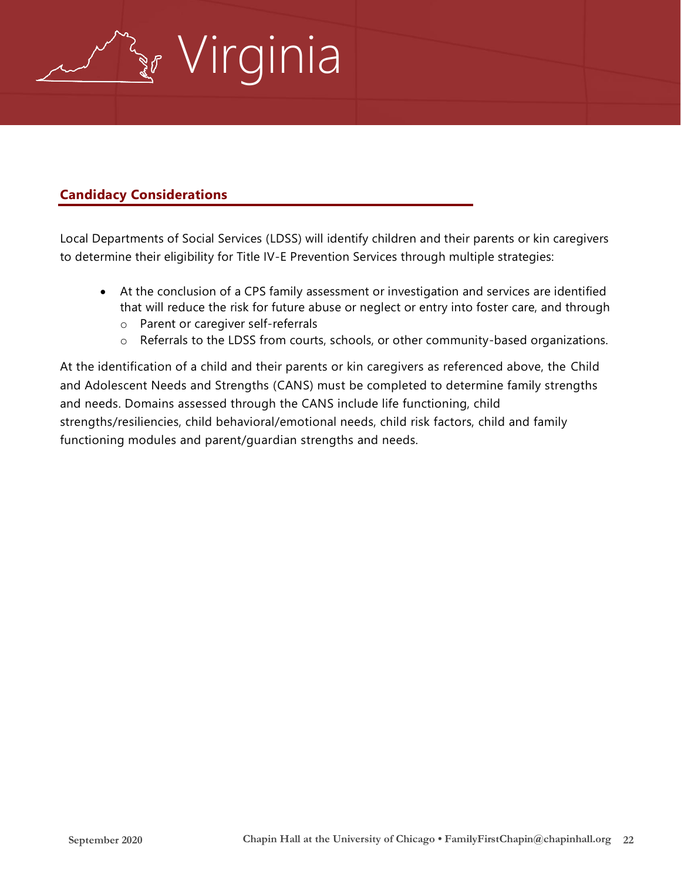

#### **Candidacy Considerations**

Local Departments of Social Services (LDSS) will identify children and their parents or kin caregivers to determine their eligibility for Title IV-E Prevention Services through multiple strategies:

- At the conclusion of a CPS family assessment or investigation and services are identified that will reduce the risk for future abuse or neglect or entry into foster care, and through
	- o Parent or caregiver self-referrals
	- o Referrals to the LDSS from courts, schools, or other community-based organizations.

At the identification of a child and their parents or kin caregivers as referenced above, the Child and Adolescent Needs and Strengths (CANS) must be completed to determine family strengths and needs. Domains assessed through the CANS include life functioning, child strengths/resiliencies, child behavioral/emotional needs, child risk factors, child and family functioning modules and parent/guardian strengths and needs.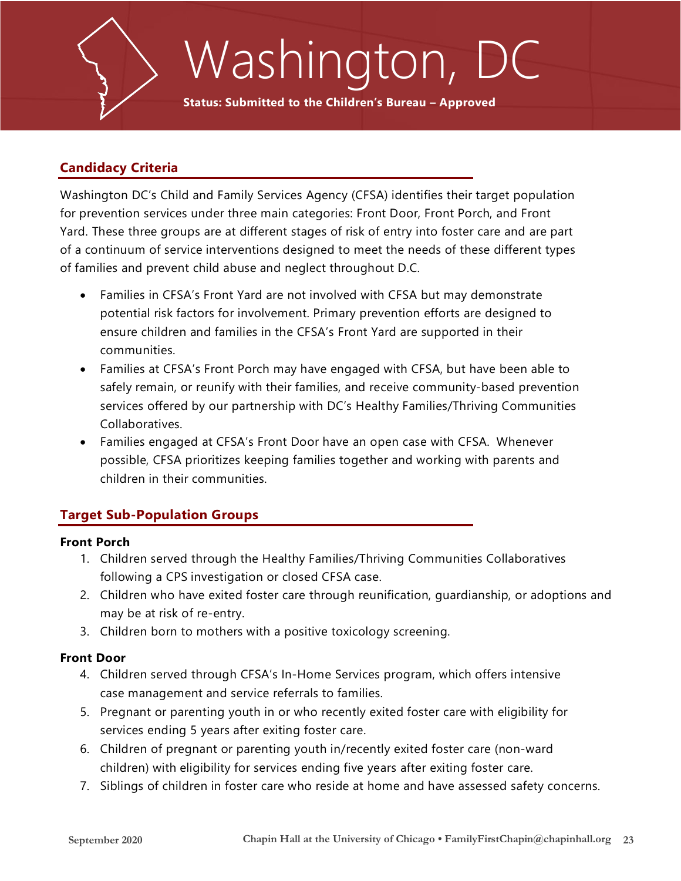

# Washington, DC

**Status: Submitted to the Children's Bureau – Approved**

#### **Candidacy Criteria**

Washington DC's Child and Family Services Agency (CFSA) identifies their target population for prevention services under three main categories: Front Door, Front Porch, and Front Yard. These three groups are at different stages of risk of entry into foster care and are part of a continuum of service interventions designed to meet the needs of these different types of families and prevent child abuse and neglect throughout D.C.

- Families in CFSA's Front Yard are not involved with CFSA but may demonstrate potential risk factors for involvement. Primary prevention efforts are designed to ensure children and families in the CFSA's Front Yard are supported in their communities.
- Families at CFSA's Front Porch may have engaged with CFSA, but have been able to safely remain, or reunify with their families, and receive community-based prevention services offered by our partnership with DC's Healthy Families/Thriving Communities Collaboratives.
- Families engaged at CFSA's Front Door have an open case with CFSA. Whenever possible, CFSA prioritizes keeping families together and working with parents and children in their communities.

#### **Target Sub-Population Groups**

#### **Front Porch**

- 1. Children served through the Healthy Families/Thriving Communities Collaboratives following a CPS investigation or closed CFSA case.
- 2. Children who have exited foster care through reunification, guardianship, or adoptions and may be at risk of re-entry.
- 3. Children born to mothers with a positive toxicology screening.

#### **Front Door**

- 4. Children served through CFSA's In-Home Services program, which offers intensive case management and service referrals to families.
- 5. Pregnant or parenting youth in or who recently exited foster care with eligibility for services ending 5 years after exiting foster care.
- 6. Children of pregnant or parenting youth in/recently exited foster care (non-ward children) with eligibility for services ending five years after exiting foster care.
- 7. Siblings of children in foster care who reside at home and have assessed safety concerns.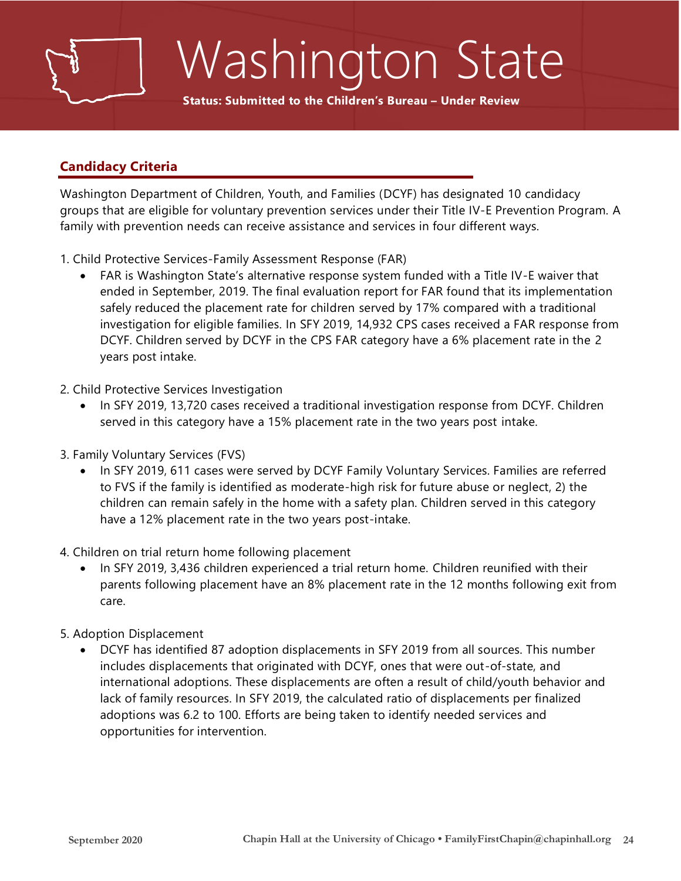# Washington State

**Status: Submitted to the Children's Bureau – Under Review**

#### **Candidacy Criteria**

Washington Department of Children, Youth, and Families (DCYF) has designated 10 candidacy groups that are eligible for voluntary prevention services under their Title IV-E Prevention Program. A family with prevention needs can receive assistance and services in four different ways.

- 1. Child Protective Services-Family Assessment Response (FAR)
	- FAR is Washington State's alternative response system funded with a Title IV-E waiver that ended in September, 2019. The final evaluation report for FAR found that its implementation safely reduced the placement rate for children served by 17% compared with a traditional investigation for eligible families. In SFY 2019, 14,932 CPS cases received a FAR response from DCYF. Children served by DCYF in the CPS FAR category have a 6% placement rate in the 2 years post intake.
- 2. Child Protective Services Investigation
	- In SFY 2019, 13,720 cases received a traditional investigation response from DCYF. Children served in this category have a 15% placement rate in the two years post intake.
- 3. Family Voluntary Services (FVS)
	- In SFY 2019, 611 cases were served by DCYF Family Voluntary Services. Families are referred to FVS if the family is identified as moderate-high risk for future abuse or neglect, 2) the children can remain safely in the home with a safety plan. Children served in this category have a 12% placement rate in the two years post-intake.
- 4. Children on trial return home following placement
	- In SFY 2019, 3,436 children experienced a trial return home. Children reunified with their parents following placement have an 8% placement rate in the 12 months following exit from care.
- 5. Adoption Displacement
	- DCYF has identified 87 adoption displacements in SFY 2019 from all sources. This number includes displacements that originated with DCYF, ones that were out-of-state, and international adoptions. These displacements are often a result of child/youth behavior and lack of family resources. In SFY 2019, the calculated ratio of displacements per finalized adoptions was 6.2 to 100. Efforts are being taken to identify needed services and opportunities for intervention.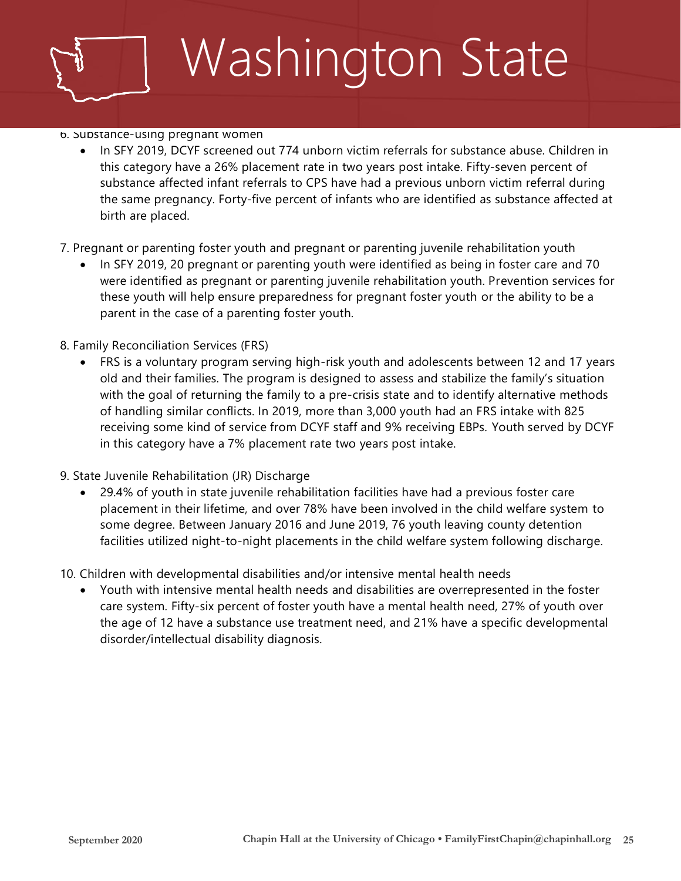# Washington State

#### 6. Substance-using pregnant women

- In SFY 2019, DCYF screened out 774 unborn victim referrals for substance abuse. Children in this category have a 26% placement rate in two years post intake. Fifty-seven percent of substance affected infant referrals to CPS have had a previous unborn victim referral during the same pregnancy. Forty-five percent of infants who are identified as substance affected at birth are placed.
- 7. Pregnant or parenting foster youth and pregnant or parenting juvenile rehabilitation youth
	- In SFY 2019, 20 pregnant or parenting youth were identified as being in foster care and 70 were identified as pregnant or parenting juvenile rehabilitation youth. Prevention services for these youth will help ensure preparedness for pregnant foster youth or the ability to be a parent in the case of a parenting foster youth.
- 8. Family Reconciliation Services (FRS)
	- FRS is a voluntary program serving high-risk youth and adolescents between 12 and 17 years old and their families. The program is designed to assess and stabilize the family's situation with the goal of returning the family to a pre-crisis state and to identify alternative methods of handling similar conflicts. In 2019, more than 3,000 youth had an FRS intake with 825 receiving some kind of service from DCYF staff and 9% receiving EBPs. Youth served by DCYF in this category have a 7% placement rate two years post intake.
- 9. State Juvenile Rehabilitation (JR) Discharge
	- 29.4% of youth in state juvenile rehabilitation facilities have had a previous foster care placement in their lifetime, and over 78% have been involved in the child welfare system to some degree. Between January 2016 and June 2019, 76 youth leaving county detention facilities utilized night-to-night placements in the child welfare system following discharge.
- 10. Children with developmental disabilities and/or intensive mental health needs
	- Youth with intensive mental health needs and disabilities are overrepresented in the foster care system. Fifty-six percent of foster youth have a mental health need, 27% of youth over the age of 12 have a substance use treatment need, and 21% have a specific developmental disorder/intellectual disability diagnosis.